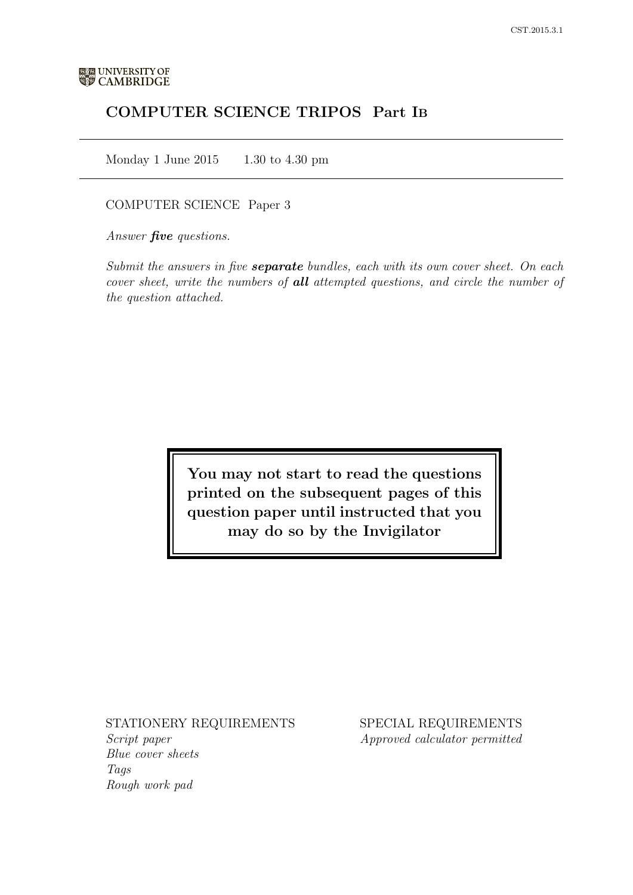# COMPUTER SCIENCE TRIPOS Part IB

Monday 1 June 2015  $1.30 \text{ to } 4.30 \text{ pm}$ 

# COMPUTER SCIENCE Paper 3

Answer **five** questions.

Submit the answers in five **separate** bundles, each with its own cover sheet. On each cover sheet, write the numbers of **all** attempted questions, and circle the number of the question attached.

> You may not start to read the questions printed on the subsequent pages of this question paper until instructed that you may do so by the Invigilator

#### STATIONERY REQUIREMENTS

Script paper Blue cover sheets Tags Rough work pad

SPECIAL REQUIREMENTS Approved calculator permitted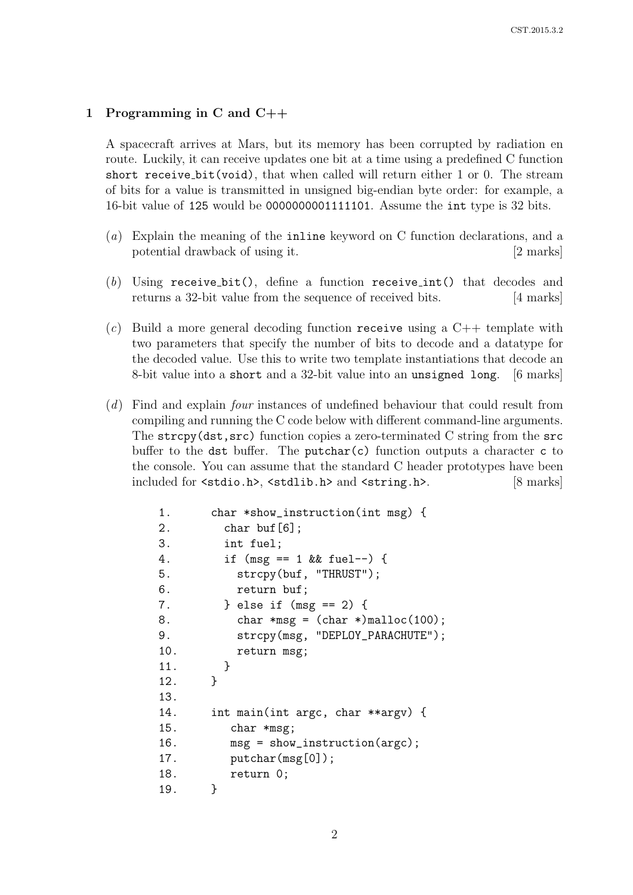# 1 Programming in C and C++

A spacecraft arrives at Mars, but its memory has been corrupted by radiation en route. Luckily, it can receive updates one bit at a time using a predefined C function short receive bit(void), that when called will return either 1 or 0. The stream of bits for a value is transmitted in unsigned big-endian byte order: for example, a 16-bit value of 125 would be 0000000001111101. Assume the int type is 32 bits.

- (a) Explain the meaning of the inline keyword on C function declarations, and a potential drawback of using it. [2 marks]
- (b) Using receive bit(), define a function receive int() that decodes and returns a 32-bit value from the sequence of received bits. [4 marks]
- $(c)$  Build a more general decoding function receive using a C++ template with two parameters that specify the number of bits to decode and a datatype for the decoded value. Use this to write two template instantiations that decode an 8-bit value into a short and a 32-bit value into an unsigned long. [6 marks]
- (d) Find and explain four instances of undefined behaviour that could result from compiling and running the C code below with different command-line arguments. The strcpy(dst,src) function copies a zero-terminated C string from the src buffer to the dst buffer. The putchar(c) function outputs a character c to the console. You can assume that the standard C header prototypes have been included for <stdio.h>, <stdlib.h> and <string.h>. [8 marks]

```
1. char *show_instruction(int msg) {
2. char buf[6];
3. int fuel;
4. if (msg == 1 && fuel--) {
5. strcpy(buf, "THRUST");
6. return buf;
7. } else if (msg == 2) {
8. char *msg = (char *)malloc(100);
9. strcpy(msg, "DEPLOY_PARACHUTE");
10. return msg;
11. }
12. }
13.
14. int main(int argc, char **argv) {
15. char *msg;
16. msg = show_instruction(argc);
17. putchar(msg[0]);
18. return 0;
19. }
```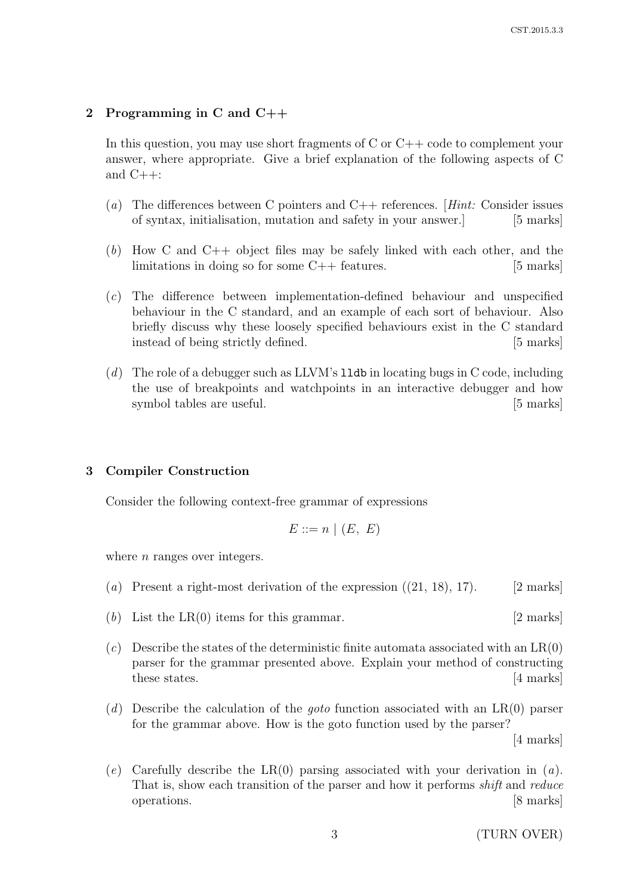#### 2 Programming in C and C++

In this question, you may use short fragments of C or C++ code to complement your answer, where appropriate. Give a brief explanation of the following aspects of C and C++:

- (a) The differences between C pointers and  $C_{++}$  references. [Hint: Consider issues of syntax, initialisation, mutation and safety in your answer.] [5 marks]
- $(b)$  How C and C++ object files may be safely linked with each other, and the limitations in doing so for some  $C++$  features. [5 marks]
- (c) The difference between implementation-defined behaviour and unspecified behaviour in the C standard, and an example of each sort of behaviour. Also briefly discuss why these loosely specified behaviours exist in the C standard instead of being strictly defined. [5 marks]
- $(d)$  The role of a debugger such as LLVM's 11db in locating bugs in C code, including the use of breakpoints and watchpoints in an interactive debugger and how symbol tables are useful. [5 marks]

#### 3 Compiler Construction

Consider the following context-free grammar of expressions

$$
E ::= n \mid (E, E)
$$

where  $n$  ranges over integers.

- (a) Present a right-most derivation of the expression  $(21, 18)$ , 17). [2 marks]
- (b) List the  $LR(0)$  items for this grammar. [2 marks]
- $(c)$  Describe the states of the deterministic finite automata associated with an  $LR(0)$ parser for the grammar presented above. Explain your method of constructing these states. [4 marks]
- (d) Describe the calculation of the *goto* function associated with an  $LR(0)$  parser for the grammar above. How is the goto function used by the parser? [4 marks]
- (e) Carefully describe the LR(0) parsing associated with your derivation in  $(a)$ . That is, show each transition of the parser and how it performs shift and reduce operations. [8 marks]

3 (TURN OVER)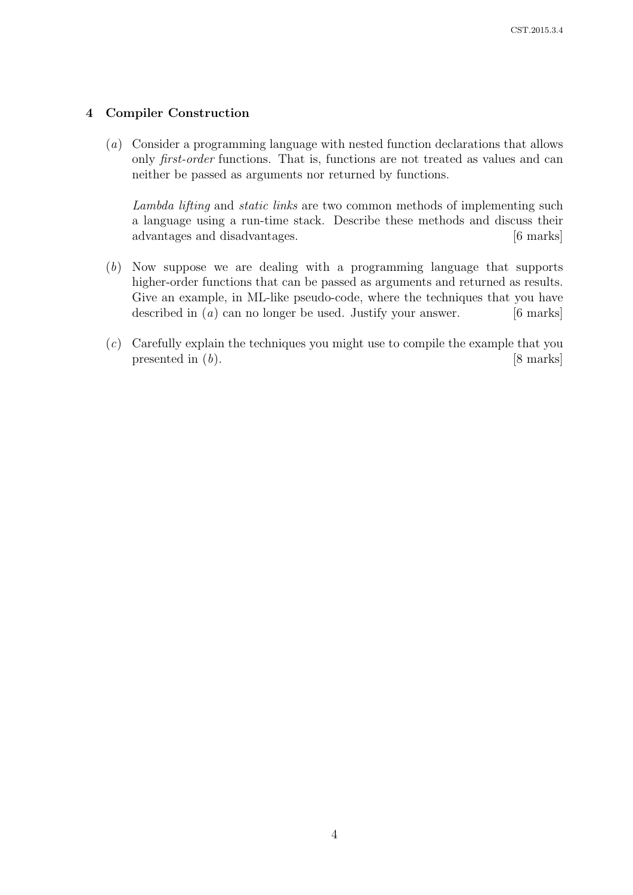# 4 Compiler Construction

(a) Consider a programming language with nested function declarations that allows only *first-order* functions. That is, functions are not treated as values and can neither be passed as arguments nor returned by functions.

Lambda lifting and static links are two common methods of implementing such a language using a run-time stack. Describe these methods and discuss their advantages and disadvantages. [6 marks]

- (b) Now suppose we are dealing with a programming language that supports higher-order functions that can be passed as arguments and returned as results. Give an example, in ML-like pseudo-code, where the techniques that you have described in  $(a)$  can no longer be used. Justify your answer. [6 marks]
- (c) Carefully explain the techniques you might use to compile the example that you presented in  $(b)$ . [8 marks]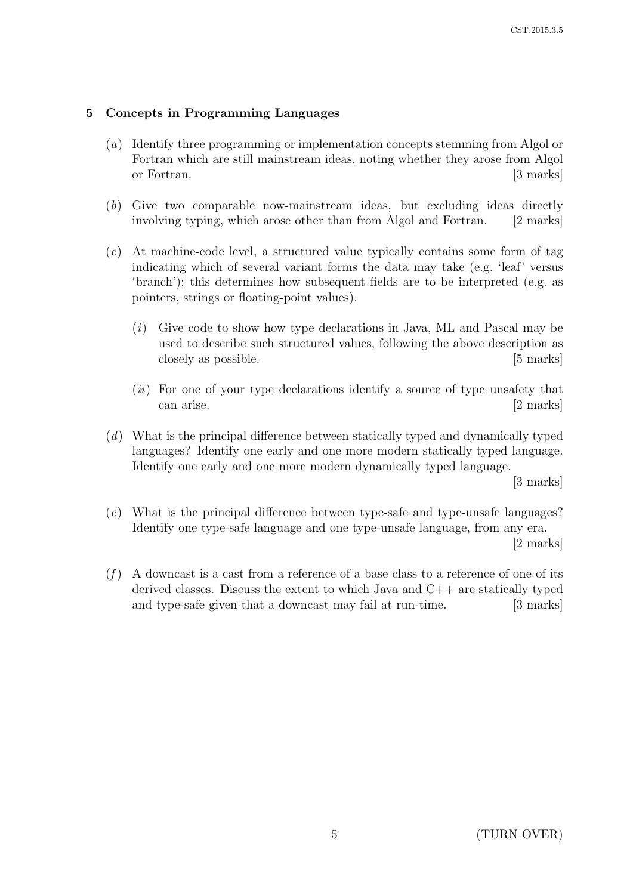# 5 Concepts in Programming Languages

- (a) Identify three programming or implementation concepts stemming from Algol or Fortran which are still mainstream ideas, noting whether they arose from Algol or Fortran. [3 marks]
- (b) Give two comparable now-mainstream ideas, but excluding ideas directly involving typing, which arose other than from Algol and Fortran. [2 marks]
- $(c)$  At machine-code level, a structured value typically contains some form of tag indicating which of several variant forms the data may take (e.g. 'leaf' versus 'branch'); this determines how subsequent fields are to be interpreted (e.g. as pointers, strings or floating-point values).
	- (i) Give code to show how type declarations in Java, ML and Pascal may be used to describe such structured values, following the above description as closely as possible. [5 marks]
	- $(ii)$  For one of your type declarations identify a source of type unsafety that can arise. [2 marks]
- (d) What is the principal difference between statically typed and dynamically typed languages? Identify one early and one more modern statically typed language. Identify one early and one more modern dynamically typed language.

[3 marks]

(e) What is the principal difference between type-safe and type-unsafe languages? Identify one type-safe language and one type-unsafe language, from any era.

[2 marks]

 $(f)$  A downcast is a cast from a reference of a base class to a reference of one of its derived classes. Discuss the extent to which Java and  $C++$  are statically typed and type-safe given that a downcast may fail at run-time. [3 marks]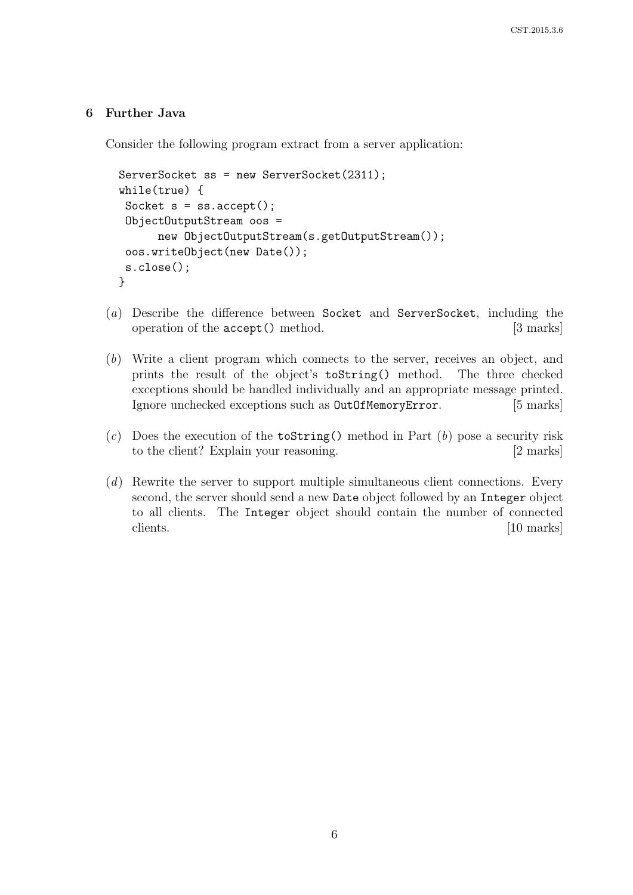# 6 Further Java

Consider the following program extract from a server application:

```
ServerSocket ss = new ServerSocket(2311);
while(true) {
 Socket s = ss \cdot accept();
 ObjectOutputStream oos =
      new ObjectOutputStream(s.getOutputStream());
 oos.writeObject(new Date());
 s.close();
}
```
- (a) Describe the difference between Socket and ServerSocket, including the operation of the accept() method. [3 marks]
- (b) Write a client program which connects to the server, receives an object, and prints the result of the object's toString() method. The three checked exceptions should be handled individually and an appropriate message printed. Ignore unchecked exceptions such as OutOfMemoryError. [5 marks]
- (c) Does the execution of the **toString()** method in Part  $(b)$  pose a security risk to the client? Explain your reasoning. [2 marks]
- (d) Rewrite the server to support multiple simultaneous client connections. Every second, the server should send a new Date object followed by an Integer object to all clients. The Integer object should contain the number of connected clients. [10 marks]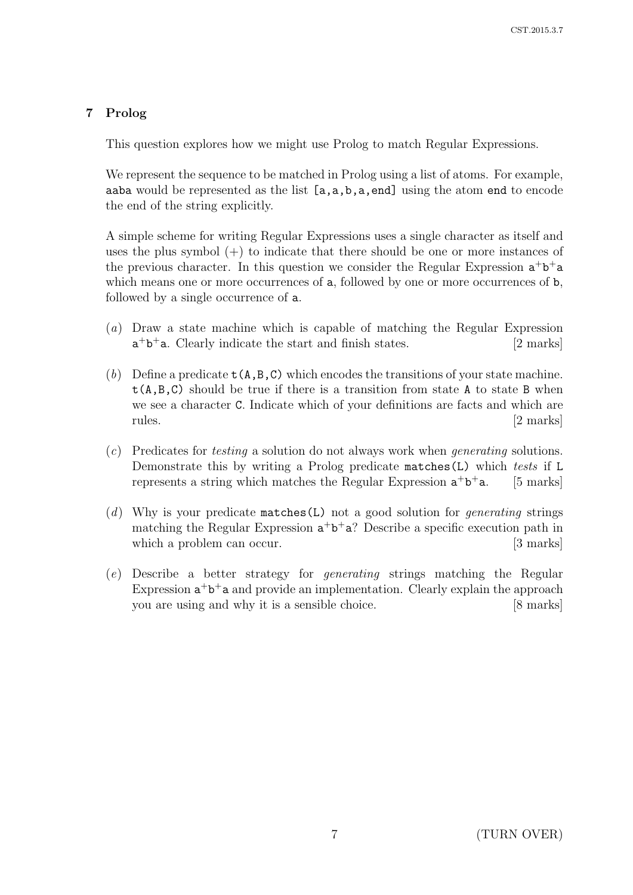# 7 Prolog

This question explores how we might use Prolog to match Regular Expressions.

We represent the sequence to be matched in Prolog using a list of atoms. For example, aaba would be represented as the list  $[a,a,b,a,end]$  using the atom end to encode the end of the string explicitly.

A simple scheme for writing Regular Expressions uses a single character as itself and uses the plus symbol  $(+)$  to indicate that there should be one or more instances of the previous character. In this question we consider the Regular Expression  $a^+b^+a$ which means one or more occurrences of **a**, followed by one or more occurrences of **b**, followed by a single occurrence of a.

- (a) Draw a state machine which is capable of matching the Regular Expression  $a^+b^+a$ . Clearly indicate the start and finish states. [2 marks]
- (b) Define a predicate  $t(A,B,C)$  which encodes the transitions of your state machine.  $t(A,B,C)$  should be true if there is a transition from state A to state B when we see a character C. Indicate which of your definitions are facts and which are rules. [2 marks]
- (c) Predicates for testing a solution do not always work when generating solutions. Demonstrate this by writing a Prolog predicate matches(L) which tests if L represents a string which matches the Regular Expression  $a^+b$  $[5$  marks]
- (d) Why is your predicate matches (L) not a good solution for *generating* strings matching the Regular Expression  $a^+b^+a$ ? Describe a specific execution path in which a problem can occur. [3 marks]
- (e) Describe a better strategy for generating strings matching the Regular Expression  $a^+b^+a$  and provide an implementation. Clearly explain the approach you are using and why it is a sensible choice. [8 marks]